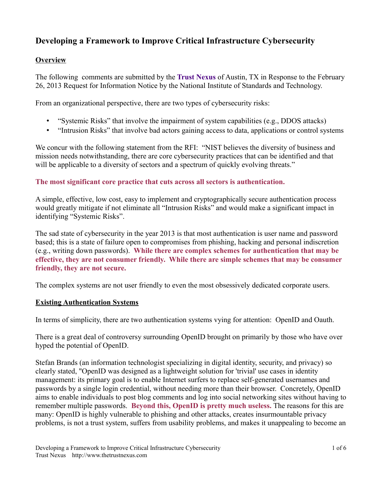# **Developing a Framework to Improve Critical Infrastructure Cybersecurity**

### **Overview**

The following comments are submitted by the **Trust Nexus** of Austin, TX in Response to the February 26, 2013 Request for Information Notice by the National Institute of Standards and Technology.

From an organizational perspective, there are two types of cybersecurity risks:

- "Systemic Risks" that involve the impairment of system capabilities (e.g., DDOS attacks)
- "Intrusion Risks" that involve bad actors gaining access to data, applications or control systems

We concur with the following statement from the RFI: "NIST believes the diversity of business and mission needs notwithstanding, there are core cybersecurity practices that can be identified and that will be applicable to a diversity of sectors and a spectrum of quickly evolving threats."

## **The most significant core practice that cuts across all sectors is authentication.**

A simple, effective, low cost, easy to implement and cryptographically secure authentication process would greatly mitigate if not eliminate all "Intrusion Risks" and would make a significant impact in identifying "Systemic Risks".

The sad state of cybersecurity in the year 2013 is that most authentication is user name and password based; this is a state of failure open to compromises from phishing, hacking and personal indiscretion (e.g., writing down passwords). **While there are complex schemes for authentication that may be effective, they are not consumer friendly. While there are simple schemes that may be consumer friendly, they are not secure.** 

The complex systems are not user friendly to even the most obsessively dedicated corporate users.

#### **Existing Authentication Systems**

In terms of simplicity, there are two authentication systems vying for attention: OpenID and Oauth.

There is a great deal of controversy surrounding OpenID brought on primarily by those who have over hyped the potential of OpenID.

Stefan Brands (an information technologist specializing in digital identity, security, and privacy) so clearly stated, "OpenID was designed as a lightweight solution for 'trivial' use cases in identity management: its primary goal is to enable Internet surfers to replace self-generated usernames and passwords by a single login credential, without needing more than their browser. Concretely, OpenID aims to enable individuals to post blog comments and log into social networking sites without having to remember multiple passwords. **Beyond this, OpenID is pretty much useless.** The reasons for this are many: OpenID is highly vulnerable to phishing and other attacks, creates insurmountable privacy problems, is not a trust system, suffers from usability problems, and makes it unappealing to become an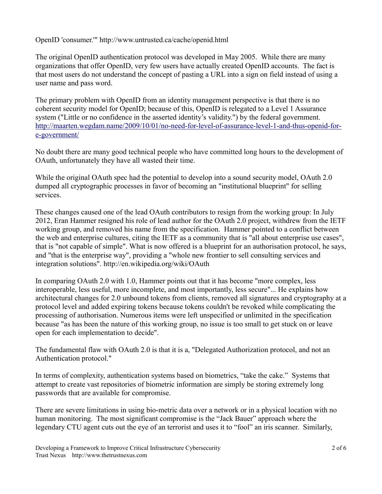OpenID 'consumer.'" http://www.untrusted.ca/cache/openid.html

The original OpenID authentication protocol was developed in May 2005. While there are many organizations that offer OpenID, very few users have actually created OpenID accounts. The fact is that most users do not understand the concept of pasting a URL into a sign on field instead of using a user name and pass word.

The primary problem with OpenID from an identity management perspective is that there is no coherent security model for OpenID; because of this, OpenID is relegated to a Level 1 Assurance system ("Little or no confidence in the asserted identity's validity.") by the federal government. [http://maarten.wegdam.name/2009/10/01/no-need-for-level-of-assurance-level-1-and-thus-openid-for](http://maarten.wegdam.name/2009/10/01/no-need-for-level-of-assurance-level-1-and-thus-openid-for-e-government/)[e-government/](http://maarten.wegdam.name/2009/10/01/no-need-for-level-of-assurance-level-1-and-thus-openid-for-e-government/) 

No doubt there are many good technical people who have committed long hours to the development of OAuth, unfortunately they have all wasted their time.

While the original OAuth spec had the potential to develop into a sound security model, OAuth 2.0 dumped all cryptographic processes in favor of becoming an "institutional blueprint" for selling services.

These changes caused one of the lead OAuth contributors to resign from the working group: In July 2012, Eran Hammer resigned his role of lead author for the OAuth 2.0 project, withdrew from the IETF working group, and removed his name from the specification. Hammer pointed to a conflict between the web and enterprise cultures, citing the IETF as a community that is "all about enterprise use cases", that is "not capable of simple". What is now offered is a blueprint for an authorisation protocol, he says, and "that is the enterprise way", providing a "whole new frontier to sell consulting services and integration solutions". http://en.wikipedia.org/wiki/OAuth

In comparing OAuth 2.0 with 1.0, Hammer points out that it has become "more complex, less interoperable, less useful, more incomplete, and most importantly, less secure"... He explains how architectural changes for 2.0 unbound tokens from clients, removed all signatures and cryptography at a protocol level and added expiring tokens because tokens couldn't be revoked while complicating the processing of authorisation. Numerous items were left unspecified or unlimited in the specification because "as has been the nature of this working group, no issue is too small to get stuck on or leave open for each implementation to decide".

The fundamental flaw with OAuth 2.0 is that it is a, "Delegated Authorization protocol, and not an Authentication protocol."

In terms of complexity, authentication systems based on biometrics, "take the cake." Systems that attempt to create vast repositories of biometric information are simply be storing extremely long passwords that are available for compromise.

There are severe limitations in using bio-metric data over a network or in a physical location with no human monitoring. The most significant compromise is the "Jack Bauer" approach where the legendary CTU agent cuts out the eye of an terrorist and uses it to "fool" an iris scanner. Similarly,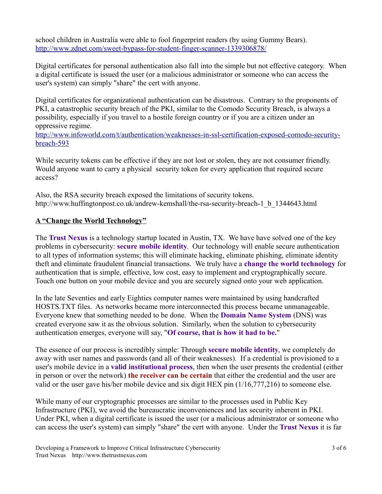school children in Australia were able to fool fingerprint readers (by using Gummy Bears). <http://www.zdnet.com/sweet-bypass-for-student-finger-scanner-1339306878/>

 Digital certificates for personal authentication also fall into the simple but not effective category. When a digital certificate is issued the user (or a malicious administrator or someone who can access the user's system) can simply "share" the cert with anyone.

Digital certificates for organizational authentication can be disastrous. Contrary to the proponents of PKI, a catastrophic security breach of the PKI, similar to the Comodo Security Breach, is always a possibility, especially if you travel to a hostile foreign country or if you are a citizen under an oppressive regime.

[http://www.infoworld.com/t/authentication/weaknesses-in-ssl-certification-exposed-comodo-security](http://www.infoworld.com/t/authentication/weaknesses-in-ssl-certification-exposed-comodo-security-breach-593)[breach-593](http://www.infoworld.com/t/authentication/weaknesses-in-ssl-certification-exposed-comodo-security-breach-593) 

While security tokens can be effective if they are not lost or stolen, they are not consumer friendly. Would anyone want to carry a physical security token for every application that required secure access?

Also, the RSA security breach exposed the limitations of security tokens. http://www.huffingtonpost.co.uk/andrew-kemshall/the-rsa-security-breach-1\_b\_1344643.html

#### **A "Change the World Technology"**

 The **Trust Nexus** is a technology startup located in Austin, TX. We have have solved one of the key problems in cybersecurity: **secure mobile identity**. Our technology will enable secure authentication to all types of information systems; this will eliminate hacking, eliminate phishing, eliminate identity theft and eliminate fraudulent financial transactions. We truly have a **change the world technology** for authentication that is simple, effective, low cost, easy to implement and cryptographically secure. Touch one button on your mobile device and you are securely signed onto your web application.

In the late Seventies and early Eighties computer names were maintained by using handcrafted HOSTS.TXT files. As networks became more interconnected this process became unmanageable. Everyone knew that something needed to be done. When the **Domain Name System** (DNS) was created everyone saw it as the obvious solution. Similarly, when the solution to cybersecurity authentication emerges, everyone will say, "**Of course, that is how it had to be.**"

The essence of our process is incredibly simple: Through **secure mobile identity**, we completely do away with user names and passwords (and all of their weaknesses). If a credential is provisioned to a user's mobile device in a **valid institutional process**, then when the user presents the credential (either in person or over the network) **the receiver can be certain** that either the credential and the user are valid or the user gave his/her mobile device and six digit HEX pin (1/16,777,216) to someone else.

While many of our cryptographic processes are similar to the processes used in Public Key Infrastructure (PKI), we avoid the bureaucratic inconveniences and lax security inherent in PKI. Under PKI, when a digital certificate is issued the user (or a malicious administrator or someone who can access the user's system) can simply "share" the cert with anyone. Under the **Trust Nexus** it is far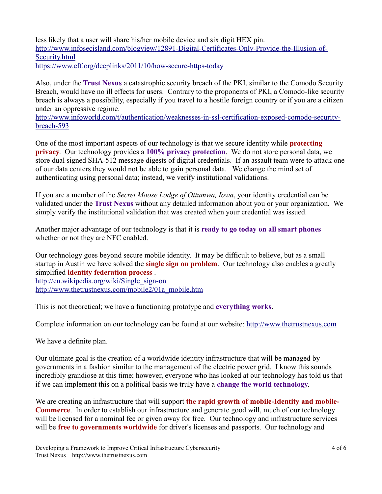less likely that a user will share his/her mobile device and six digit HEX pin. [http://www.infosecisland.com/blogview/12891-Digital-Certificates-Only-Provide-the-Illusion-of-](http://www.infosecisland.com/blogview/12891-Digital-Certificates-Only-Provide-the-Illusion-of-Security.html)[Security.html](http://www.infosecisland.com/blogview/12891-Digital-Certificates-Only-Provide-the-Illusion-of-Security.html)  <https://www.eff.org/deeplinks/2011/10/how-secure-https-today>

Also, under the **Trust Nexus** a catastrophic security breach of the PKI, similar to the Comodo Security Breach, would have no ill effects for users. Contrary to the proponents of PKI, a Comodo-like security breach is always a possibility, especially if you travel to a hostile foreign country or if you are a citizen under an oppressive regime.

[http://www.infoworld.com/t/authentication/weaknesses-in-ssl-certification-exposed-comodo-security](http://www.infoworld.com/t/authentication/weaknesses-in-ssl-certification-exposed-comodo-security-breach-593)[breach-593](http://www.infoworld.com/t/authentication/weaknesses-in-ssl-certification-exposed-comodo-security-breach-593) 

One of the most important aspects of our technology is that we secure identity while **protecting privacy**. Our technology provides a **100% privacy protection**. We do not store personal data, we store dual signed SHA-512 message digests of digital credentials. If an assault team were to attack one of our data centers they would not be able to gain personal data. We change the mind set of authenticating using personal data; instead, we verify institutional validations.

 validated under the **Trust Nexus** without any detailed information about you or your organization. We If you are a member of the *Secret Moose Lodge of Ottumwa, Iowa*, your identity credential can be simply verify the institutional validation that was created when your credential was issued.

Another major advantage of our technology is that it is **ready to go today on all smart phones**  whether or not they are NFC enabled.

Our technology goes beyond secure mobile identity. It may be difficult to believe, but as a small startup in Austin we have solved the **single sign on problem**. Our technology also enables a greatly simplified **identity federation process** . [http://en.wikipedia.org/wiki/Single\\_sign-on](http://en.wikipedia.org/wiki/Single_sign-on) 

[http://www.thetrustnexus.com/mobile2/01a\\_mobile.htm](http://www.thetrustnexus.com/mobile2/01a_mobile.htm) 

This is not theoretical; we have a functioning prototype and **everything works**.

Complete information on our technology can be found at our website: [http://www.thetrustnexus.com](http://www.thetrustnexus.com/) 

We have a definite plan.

Our ultimate goal is the creation of a worldwide identity infrastructure that will be managed by governments in a fashion similar to the management of the electric power grid. I know this sounds incredibly grandiose at this time; however, everyone who has looked at our technology has told us that if we can implement this on a political basis we truly have a **change the world technology**.

We are creating an infrastructure that will support **the rapid growth of mobile-Identity and mobile-Commerce**. In order to establish our infrastructure and generate good will, much of our technology will be licensed for a nominal fee or given away for free. Our technology and infrastructure services will be **free to governments worldwide** for driver's licenses and passports. Our technology and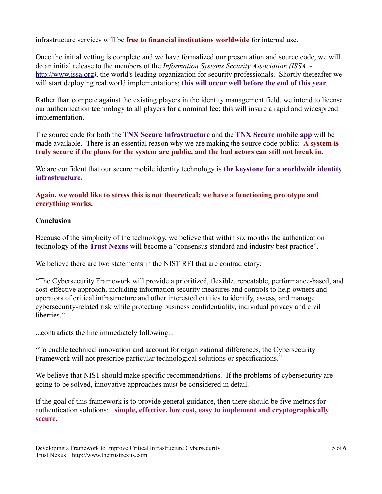infrastructure services will be **free to financial institutions worldwide** for internal use.

Once the initial vetting is complete and we have formalized our presentation and source code, we will do an initial release to the members of the *Information Systems Security Association (ISSA ~*  [http://www.issa.org](http://www.issa.org/)*)*, the world's leading organization for security professionals. Shortly thereafter we will start deploying real world implementations; **this will occur well before the end of this year**.

Rather than compete against the existing players in the identity management field, we intend to license our authentication technology to all players for a nominal fee; this will insure a rapid and widespread implementation.

 made available. There is an essential reason why we are making the source code public: **A system is**  The source code for both the **TNX Secure Infrastructure** and the **TNX Secure mobile app** will be **truly secure if the plans for the system are public, and the bad actors can still not break in.** 

We are confident that our secure mobile identity technology is **the keystone for a worldwide identity infrastructure.** 

#### **Again, we would like to stress this is not theoretical; we have a functioning prototype and everything works.**

## **Conclusion**

Because of the simplicity of the technology, we believe that within six months the authentication technology of the **Trust Nexus** will become a "consensus standard and industry best practice".

We believe there are two statements in the NIST RFI that are contradictory:

"The Cybersecurity Framework will provide a prioritized, flexible, repeatable, performance-based, and cost-effective approach, including information security measures and controls to help owners and operators of critical infrastructure and other interested entities to identify, assess, and manage cybersecurity-related risk while protecting business confidentiality, individual privacy and civil liberties."

...contradicts the line immediately following...

"To enable technical innovation and account for organizational differences, the Cybersecurity Framework will not prescribe particular technological solutions or specifications."

 going to be solved, innovative approaches must be considered in detail. We believe that NIST should make specific recommendations. If the problems of cybersecurity are

 authentication solutions: **simple, effective, low cost, easy to implement and cryptographically**  If the goal of this framework is to provide general guidance, then there should be five metrics for **secure**.